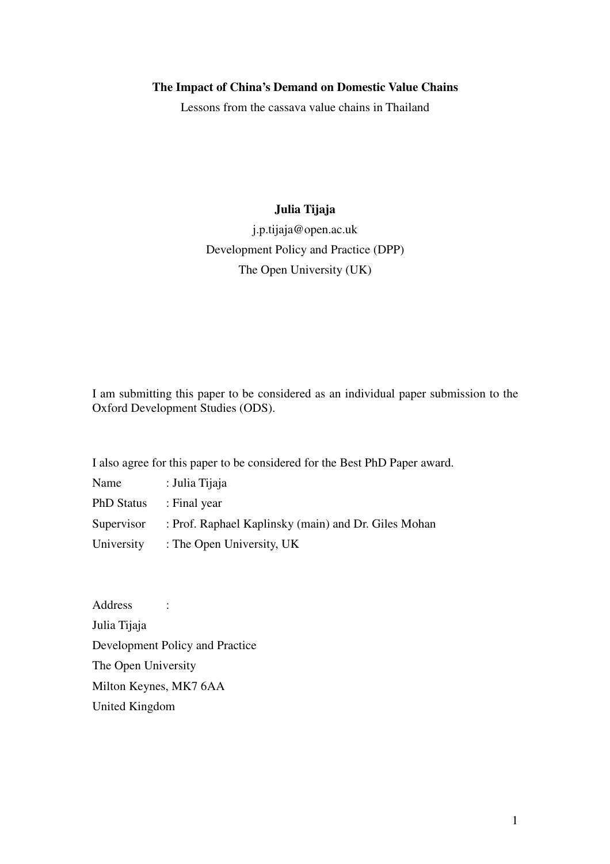# **The Impact of China's Demand on Domestic Value Chains**

Lessons from the cassava value chains in Thailand

# **Julia Tijaja**

j.p.tijaja@open.ac.uk Development Policy and Practice (DPP) The Open University (UK)

I am submitting this paper to be considered as an individual paper submission to the Oxford Development Studies (ODS).

I also agree for this paper to be considered for the Best PhD Paper award.

| Name              | : Julia Tijaja                                       |
|-------------------|------------------------------------------------------|
| <b>PhD Status</b> | : Final year                                         |
| Supervisor        | : Prof. Raphael Kaplinsky (main) and Dr. Giles Mohan |
| University        | : The Open University, UK                            |

Address : Julia Tijaja Development Policy and Practice The Open University Milton Keynes, MK7 6AA United Kingdom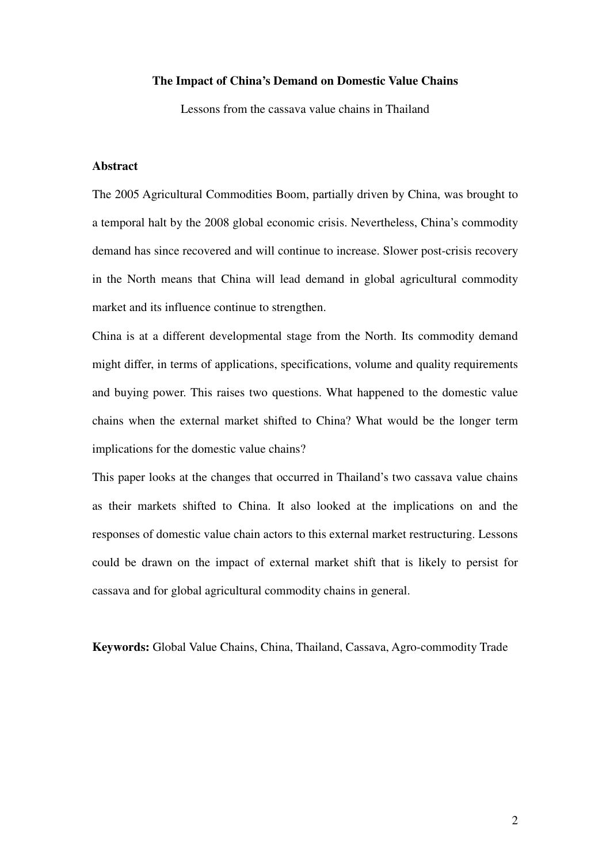### **The Impact of China's Demand on Domestic Value Chains**

Lessons from the cassava value chains in Thailand

# **Abstract**

The 2005 Agricultural Commodities Boom, partially driven by China, was brought to a temporal halt by the 2008 global economic crisis. Nevertheless, China's commodity demand has since recovered and will continue to increase. Slower post-crisis recovery in the North means that China will lead demand in global agricultural commodity market and its influence continue to strengthen.

China is at a different developmental stage from the North. Its commodity demand might differ, in terms of applications, specifications, volume and quality requirements and buying power. This raises two questions. What happened to the domestic value chains when the external market shifted to China? What would be the longer term implications for the domestic value chains?

This paper looks at the changes that occurred in Thailand's two cassava value chains as their markets shifted to China. It also looked at the implications on and the responses of domestic value chain actors to this external market restructuring. Lessons could be drawn on the impact of external market shift that is likely to persist for cassava and for global agricultural commodity chains in general.

**Keywords:** Global Value Chains, China, Thailand, Cassava, Agro-commodity Trade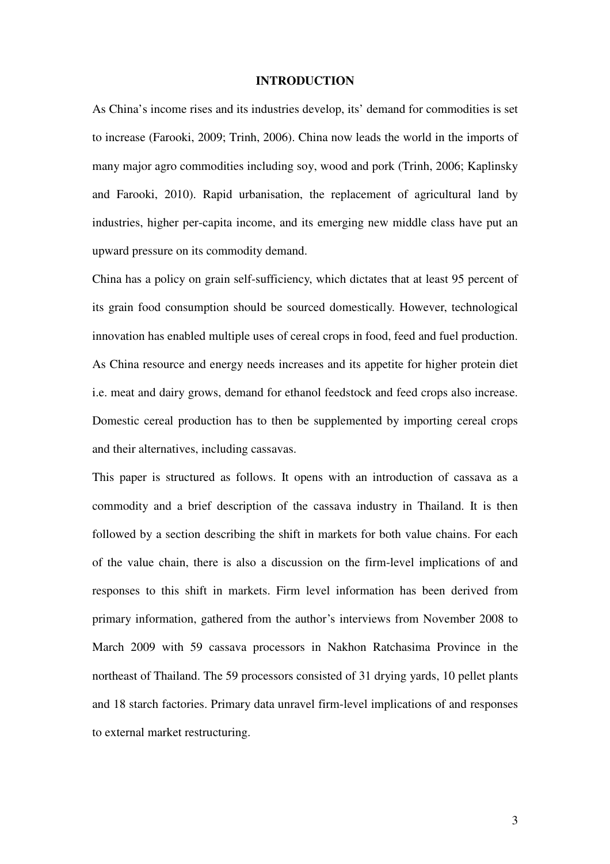### **INTRODUCTION**

As China's income rises and its industries develop, its' demand for commodities is set to increase (Farooki, 2009; Trinh, 2006). China now leads the world in the imports of many major agro commodities including soy, wood and pork (Trinh, 2006; Kaplinsky and Farooki, 2010). Rapid urbanisation, the replacement of agricultural land by industries, higher per-capita income, and its emerging new middle class have put an upward pressure on its commodity demand.

China has a policy on grain self-sufficiency, which dictates that at least 95 percent of its grain food consumption should be sourced domestically. However, technological innovation has enabled multiple uses of cereal crops in food, feed and fuel production. As China resource and energy needs increases and its appetite for higher protein diet i.e. meat and dairy grows, demand for ethanol feedstock and feed crops also increase. Domestic cereal production has to then be supplemented by importing cereal crops and their alternatives, including cassavas.

This paper is structured as follows. It opens with an introduction of cassava as a commodity and a brief description of the cassava industry in Thailand. It is then followed by a section describing the shift in markets for both value chains. For each of the value chain, there is also a discussion on the firm-level implications of and responses to this shift in markets. Firm level information has been derived from primary information, gathered from the author's interviews from November 2008 to March 2009 with 59 cassava processors in Nakhon Ratchasima Province in the northeast of Thailand. The 59 processors consisted of 31 drying yards, 10 pellet plants and 18 starch factories. Primary data unravel firm-level implications of and responses to external market restructuring.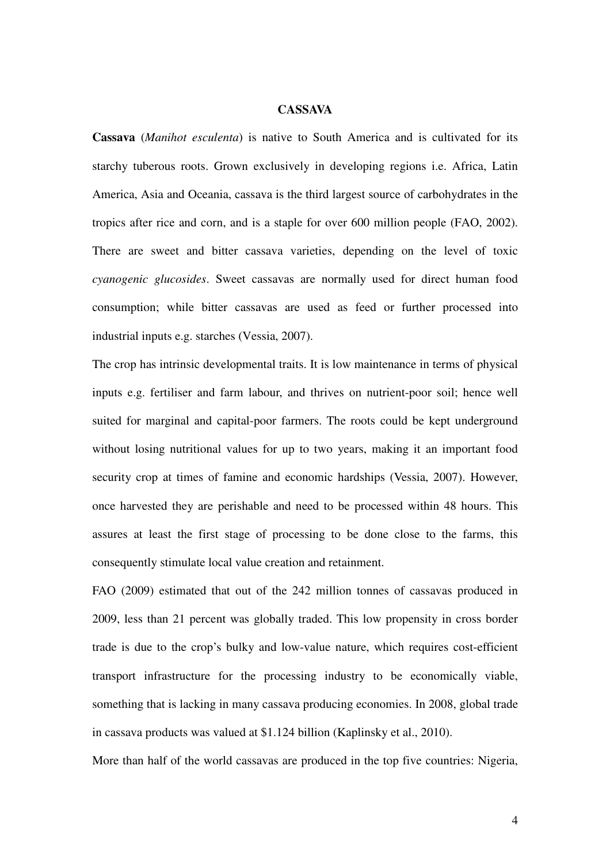## **CASSAVA**

**Cassava** (*Manihot esculenta*) is native to South America and is cultivated for its starchy tuberous roots. Grown exclusively in developing regions i.e. Africa, Latin America, Asia and Oceania, cassava is the third largest source of carbohydrates in the tropics after rice and corn, and is a staple for over 600 million people (FAO, 2002). There are sweet and bitter cassava varieties, depending on the level of toxic *cyanogenic glucosides*. Sweet cassavas are normally used for direct human food consumption; while bitter cassavas are used as feed or further processed into industrial inputs e.g. starches (Vessia, 2007).

The crop has intrinsic developmental traits. It is low maintenance in terms of physical inputs e.g. fertiliser and farm labour, and thrives on nutrient-poor soil; hence well suited for marginal and capital-poor farmers. The roots could be kept underground without losing nutritional values for up to two years, making it an important food security crop at times of famine and economic hardships (Vessia, 2007). However, once harvested they are perishable and need to be processed within 48 hours. This assures at least the first stage of processing to be done close to the farms, this consequently stimulate local value creation and retainment.

FAO (2009) estimated that out of the 242 million tonnes of cassavas produced in 2009, less than 21 percent was globally traded. This low propensity in cross border trade is due to the crop's bulky and low-value nature, which requires cost-efficient transport infrastructure for the processing industry to be economically viable, something that is lacking in many cassava producing economies. In 2008, global trade in cassava products was valued at \$1.124 billion (Kaplinsky et al., 2010).

More than half of the world cassavas are produced in the top five countries: Nigeria,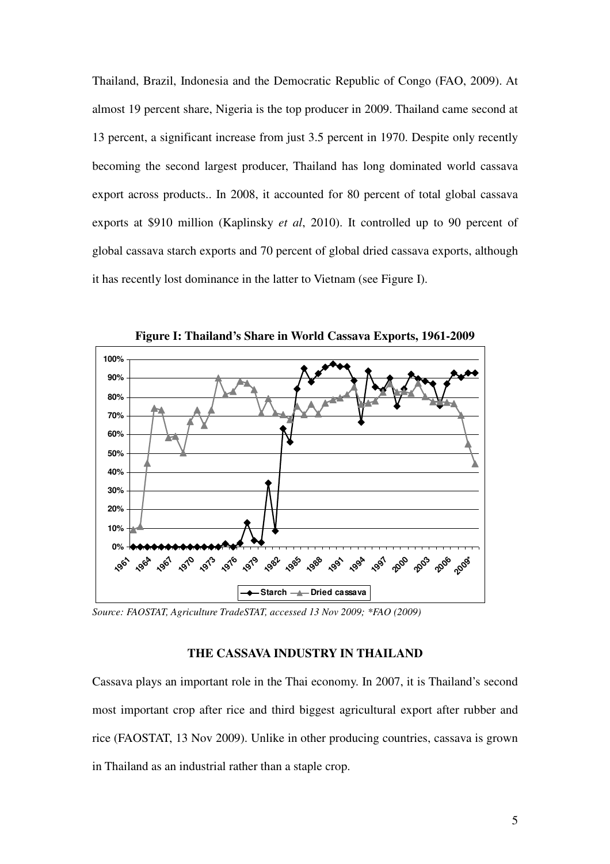Thailand, Brazil, Indonesia and the Democratic Republic of Congo (FAO, 2009). At almost 19 percent share, Nigeria is the top producer in 2009. Thailand came second at 13 percent, a significant increase from just 3.5 percent in 1970. Despite only recently becoming the second largest producer, Thailand has long dominated world cassava export across products.. In 2008, it accounted for 80 percent of total global cassava exports at \$910 million (Kaplinsky *et al*, 2010). It controlled up to 90 percent of global cassava starch exports and 70 percent of global dried cassava exports, although it has recently lost dominance in the latter to Vietnam (see Figure I).



**Figure I: Thailand's Share in World Cassava Exports, 1961-2009** 

*Source: FAOSTAT, Agriculture TradeSTAT, accessed 13 Nov 2009; \*FAO (2009)* 

# **THE CASSAVA INDUSTRY IN THAILAND**

Cassava plays an important role in the Thai economy. In 2007, it is Thailand's second most important crop after rice and third biggest agricultural export after rubber and rice (FAOSTAT, 13 Nov 2009). Unlike in other producing countries, cassava is grown in Thailand as an industrial rather than a staple crop.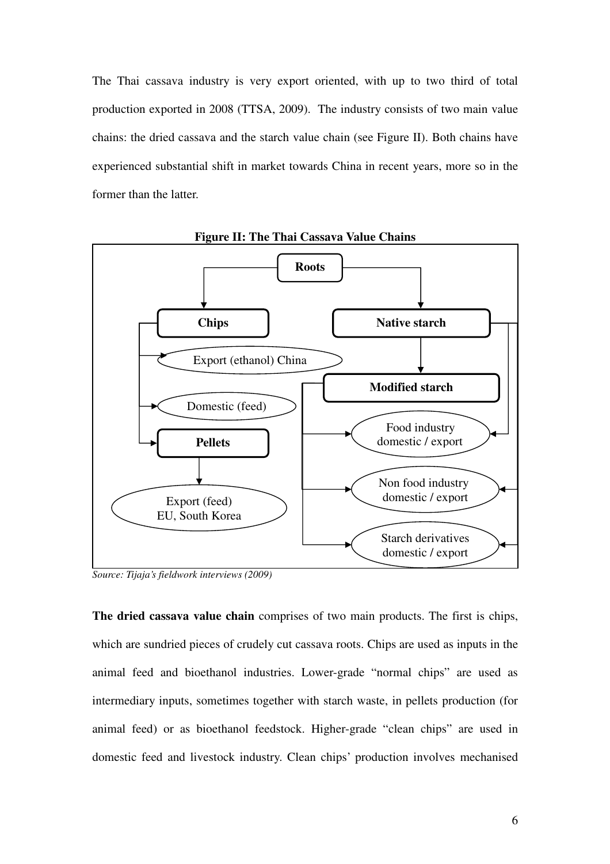The Thai cassava industry is very export oriented, with up to two third of total production exported in 2008 (TTSA, 2009). The industry consists of two main value chains: the dried cassava and the starch value chain (see Figure II). Both chains have experienced substantial shift in market towards China in recent years, more so in the former than the latter.



**Figure II: The Thai Cassava Value Chains** 

*Source: Tijaja's fieldwork interviews (2009)* 

**The dried cassava value chain** comprises of two main products. The first is chips, which are sundried pieces of crudely cut cassava roots. Chips are used as inputs in the animal feed and bioethanol industries. Lower-grade "normal chips" are used as intermediary inputs, sometimes together with starch waste, in pellets production (for animal feed) or as bioethanol feedstock. Higher-grade "clean chips" are used in domestic feed and livestock industry. Clean chips' production involves mechanised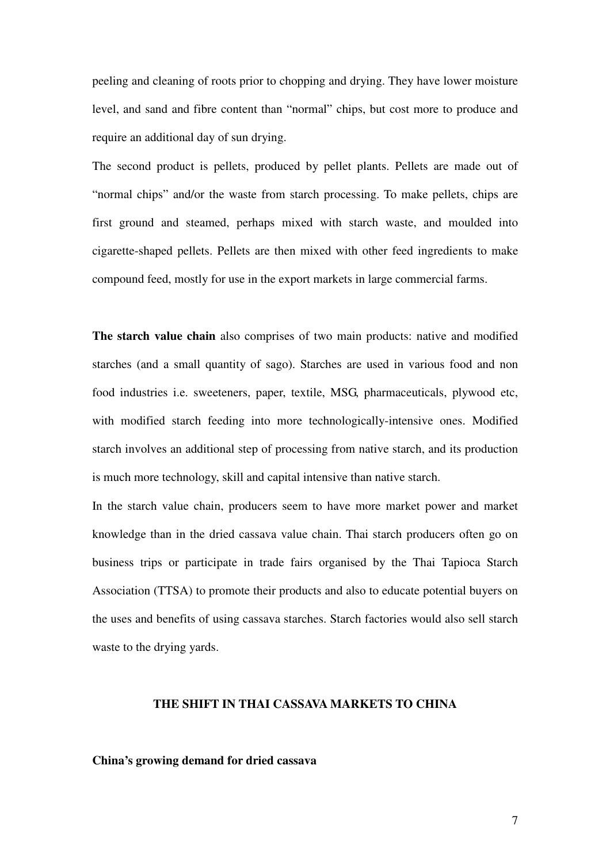peeling and cleaning of roots prior to chopping and drying. They have lower moisture level, and sand and fibre content than "normal" chips, but cost more to produce and require an additional day of sun drying.

The second product is pellets, produced by pellet plants. Pellets are made out of "normal chips" and/or the waste from starch processing. To make pellets, chips are first ground and steamed, perhaps mixed with starch waste, and moulded into cigarette-shaped pellets. Pellets are then mixed with other feed ingredients to make compound feed, mostly for use in the export markets in large commercial farms.

**The starch value chain** also comprises of two main products: native and modified starches (and a small quantity of sago). Starches are used in various food and non food industries i.e. sweeteners, paper, textile, MSG, pharmaceuticals, plywood etc, with modified starch feeding into more technologically-intensive ones. Modified starch involves an additional step of processing from native starch, and its production is much more technology, skill and capital intensive than native starch.

In the starch value chain, producers seem to have more market power and market knowledge than in the dried cassava value chain. Thai starch producers often go on business trips or participate in trade fairs organised by the Thai Tapioca Starch Association (TTSA) to promote their products and also to educate potential buyers on the uses and benefits of using cassava starches. Starch factories would also sell starch waste to the drying yards.

# **THE SHIFT IN THAI CASSAVA MARKETS TO CHINA**

### **China's growing demand for dried cassava**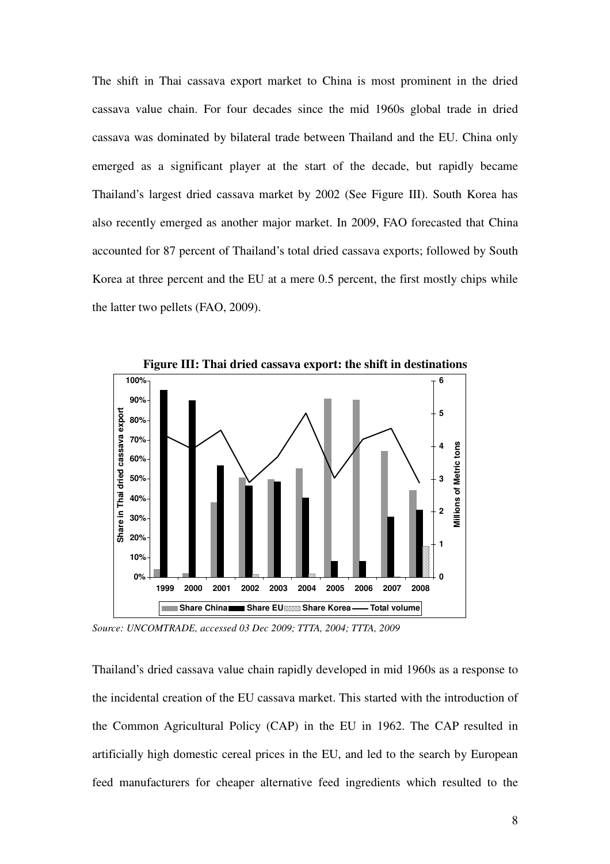The shift in Thai cassava export market to China is most prominent in the dried cassava value chain. For four decades since the mid 1960s global trade in dried cassava was dominated by bilateral trade between Thailand and the EU. China only emerged as a significant player at the start of the decade, but rapidly became Thailand's largest dried cassava market by 2002 (See Figure III). South Korea has also recently emerged as another major market. In 2009, FAO forecasted that China accounted for 87 percent of Thailand's total dried cassava exports; followed by South Korea at three percent and the EU at a mere 0.5 percent, the first mostly chips while the latter two pellets (FAO, 2009).



*Source: UNCOMTRADE, accessed 03 Dec 2009; TTTA, 2004; TTTA, 2009* 

Thailand's dried cassava value chain rapidly developed in mid 1960s as a response to the incidental creation of the EU cassava market. This started with the introduction of the Common Agricultural Policy (CAP) in the EU in 1962. The CAP resulted in artificially high domestic cereal prices in the EU, and led to the search by European feed manufacturers for cheaper alternative feed ingredients which resulted to the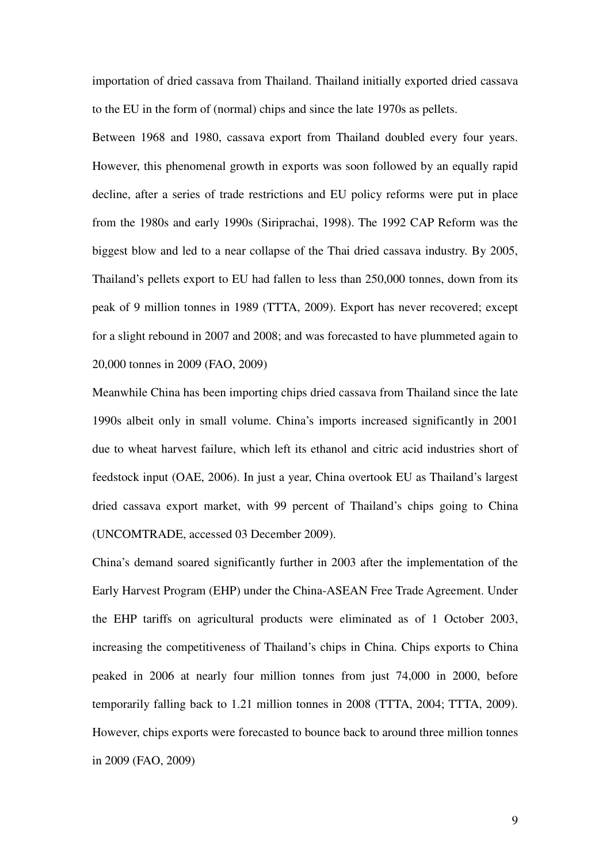importation of dried cassava from Thailand. Thailand initially exported dried cassava to the EU in the form of (normal) chips and since the late 1970s as pellets.

Between 1968 and 1980, cassava export from Thailand doubled every four years. However, this phenomenal growth in exports was soon followed by an equally rapid decline, after a series of trade restrictions and EU policy reforms were put in place from the 1980s and early 1990s (Siriprachai, 1998). The 1992 CAP Reform was the biggest blow and led to a near collapse of the Thai dried cassava industry. By 2005, Thailand's pellets export to EU had fallen to less than 250,000 tonnes, down from its peak of 9 million tonnes in 1989 (TTTA, 2009). Export has never recovered; except for a slight rebound in 2007 and 2008; and was forecasted to have plummeted again to 20,000 tonnes in 2009 (FAO, 2009)

Meanwhile China has been importing chips dried cassava from Thailand since the late 1990s albeit only in small volume. China's imports increased significantly in 2001 due to wheat harvest failure, which left its ethanol and citric acid industries short of feedstock input (OAE, 2006). In just a year, China overtook EU as Thailand's largest dried cassava export market, with 99 percent of Thailand's chips going to China (UNCOMTRADE, accessed 03 December 2009).

China's demand soared significantly further in 2003 after the implementation of the Early Harvest Program (EHP) under the China-ASEAN Free Trade Agreement. Under the EHP tariffs on agricultural products were eliminated as of 1 October 2003, increasing the competitiveness of Thailand's chips in China. Chips exports to China peaked in 2006 at nearly four million tonnes from just 74,000 in 2000, before temporarily falling back to 1.21 million tonnes in 2008 (TTTA, 2004; TTTA, 2009). However, chips exports were forecasted to bounce back to around three million tonnes in 2009 (FAO, 2009)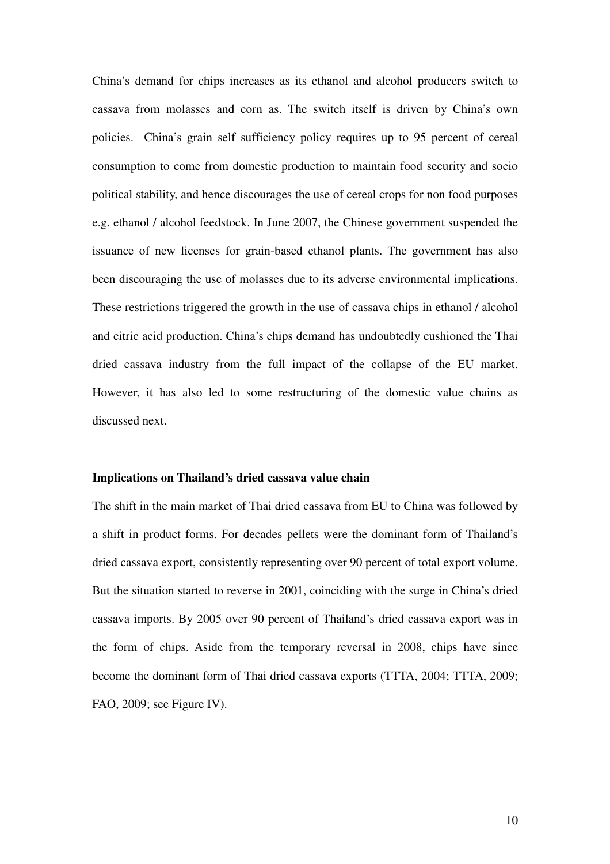China's demand for chips increases as its ethanol and alcohol producers switch to cassava from molasses and corn as. The switch itself is driven by China's own policies. China's grain self sufficiency policy requires up to 95 percent of cereal consumption to come from domestic production to maintain food security and socio political stability, and hence discourages the use of cereal crops for non food purposes e.g. ethanol / alcohol feedstock. In June 2007, the Chinese government suspended the issuance of new licenses for grain-based ethanol plants. The government has also been discouraging the use of molasses due to its adverse environmental implications. These restrictions triggered the growth in the use of cassava chips in ethanol / alcohol and citric acid production. China's chips demand has undoubtedly cushioned the Thai dried cassava industry from the full impact of the collapse of the EU market. However, it has also led to some restructuring of the domestic value chains as discussed next.

#### **Implications on Thailand's dried cassava value chain**

The shift in the main market of Thai dried cassava from EU to China was followed by a shift in product forms. For decades pellets were the dominant form of Thailand's dried cassava export, consistently representing over 90 percent of total export volume. But the situation started to reverse in 2001, coinciding with the surge in China's dried cassava imports. By 2005 over 90 percent of Thailand's dried cassava export was in the form of chips. Aside from the temporary reversal in 2008, chips have since become the dominant form of Thai dried cassava exports (TTTA, 2004; TTTA, 2009; FAO, 2009; see Figure IV).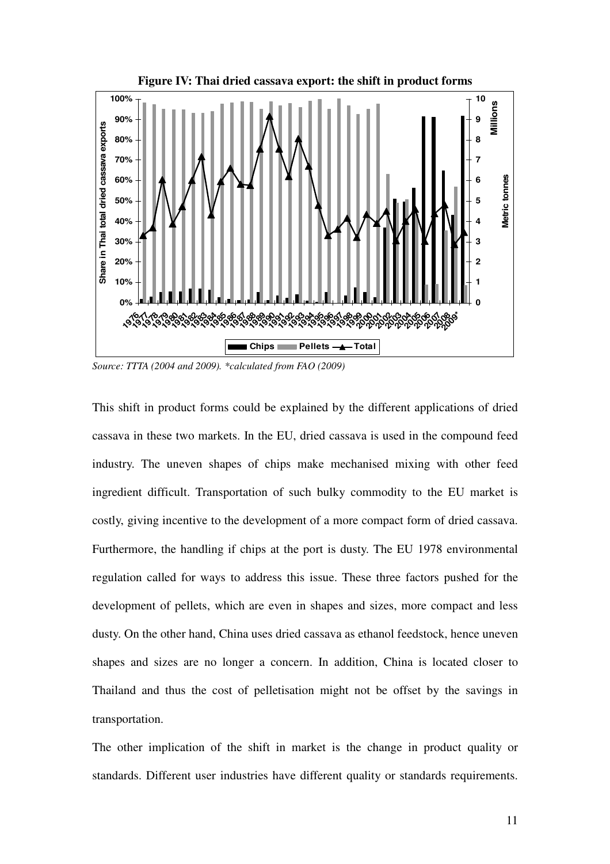

*Source: TTTA (2004 and 2009). \*calculated from FAO (2009)* 

This shift in product forms could be explained by the different applications of dried cassava in these two markets. In the EU, dried cassava is used in the compound feed industry. The uneven shapes of chips make mechanised mixing with other feed ingredient difficult. Transportation of such bulky commodity to the EU market is costly, giving incentive to the development of a more compact form of dried cassava. Furthermore, the handling if chips at the port is dusty. The EU 1978 environmental regulation called for ways to address this issue. These three factors pushed for the development of pellets, which are even in shapes and sizes, more compact and less dusty. On the other hand, China uses dried cassava as ethanol feedstock, hence uneven shapes and sizes are no longer a concern. In addition, China is located closer to Thailand and thus the cost of pelletisation might not be offset by the savings in transportation.

The other implication of the shift in market is the change in product quality or standards. Different user industries have different quality or standards requirements.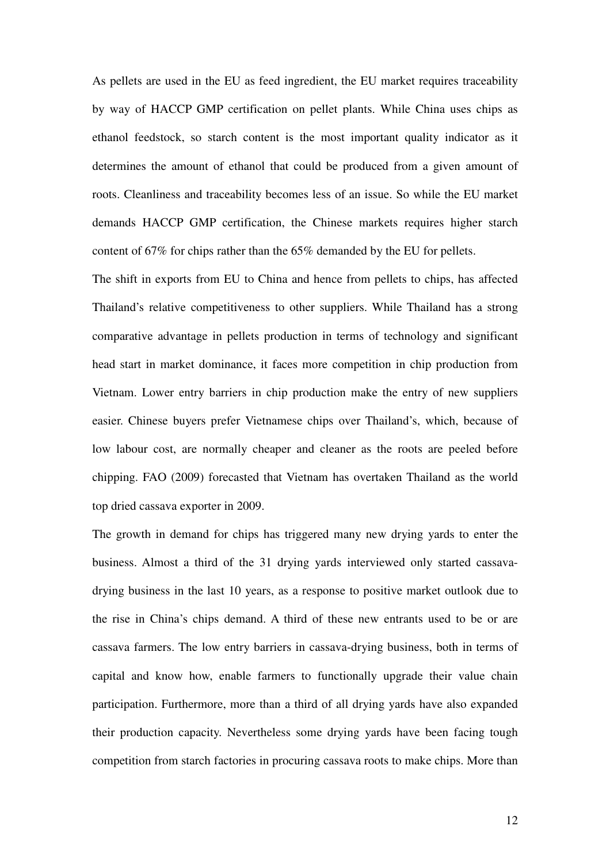As pellets are used in the EU as feed ingredient, the EU market requires traceability by way of HACCP GMP certification on pellet plants. While China uses chips as ethanol feedstock, so starch content is the most important quality indicator as it determines the amount of ethanol that could be produced from a given amount of roots. Cleanliness and traceability becomes less of an issue. So while the EU market demands HACCP GMP certification, the Chinese markets requires higher starch content of 67% for chips rather than the 65% demanded by the EU for pellets.

The shift in exports from EU to China and hence from pellets to chips, has affected Thailand's relative competitiveness to other suppliers. While Thailand has a strong comparative advantage in pellets production in terms of technology and significant head start in market dominance, it faces more competition in chip production from Vietnam. Lower entry barriers in chip production make the entry of new suppliers easier. Chinese buyers prefer Vietnamese chips over Thailand's, which, because of low labour cost, are normally cheaper and cleaner as the roots are peeled before chipping. FAO (2009) forecasted that Vietnam has overtaken Thailand as the world top dried cassava exporter in 2009.

The growth in demand for chips has triggered many new drying yards to enter the business. Almost a third of the 31 drying yards interviewed only started cassavadrying business in the last 10 years, as a response to positive market outlook due to the rise in China's chips demand. A third of these new entrants used to be or are cassava farmers. The low entry barriers in cassava-drying business, both in terms of capital and know how, enable farmers to functionally upgrade their value chain participation. Furthermore, more than a third of all drying yards have also expanded their production capacity. Nevertheless some drying yards have been facing tough competition from starch factories in procuring cassava roots to make chips. More than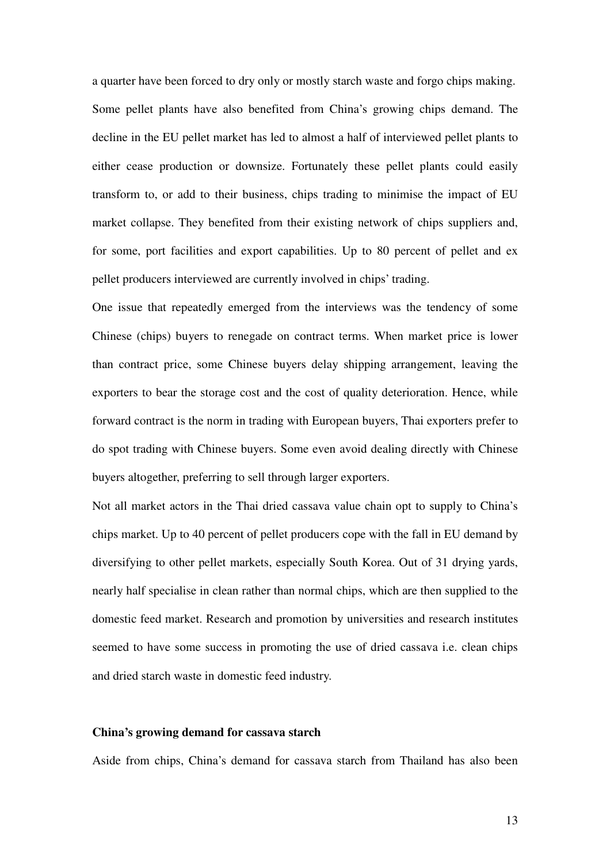a quarter have been forced to dry only or mostly starch waste and forgo chips making. Some pellet plants have also benefited from China's growing chips demand. The decline in the EU pellet market has led to almost a half of interviewed pellet plants to either cease production or downsize. Fortunately these pellet plants could easily transform to, or add to their business, chips trading to minimise the impact of EU market collapse. They benefited from their existing network of chips suppliers and, for some, port facilities and export capabilities. Up to 80 percent of pellet and ex pellet producers interviewed are currently involved in chips' trading.

One issue that repeatedly emerged from the interviews was the tendency of some Chinese (chips) buyers to renegade on contract terms. When market price is lower than contract price, some Chinese buyers delay shipping arrangement, leaving the exporters to bear the storage cost and the cost of quality deterioration. Hence, while forward contract is the norm in trading with European buyers, Thai exporters prefer to do spot trading with Chinese buyers. Some even avoid dealing directly with Chinese buyers altogether, preferring to sell through larger exporters.

Not all market actors in the Thai dried cassava value chain opt to supply to China's chips market. Up to 40 percent of pellet producers cope with the fall in EU demand by diversifying to other pellet markets, especially South Korea. Out of 31 drying yards, nearly half specialise in clean rather than normal chips, which are then supplied to the domestic feed market. Research and promotion by universities and research institutes seemed to have some success in promoting the use of dried cassava i.e. clean chips and dried starch waste in domestic feed industry.

### **China's growing demand for cassava starch**

Aside from chips, China's demand for cassava starch from Thailand has also been

13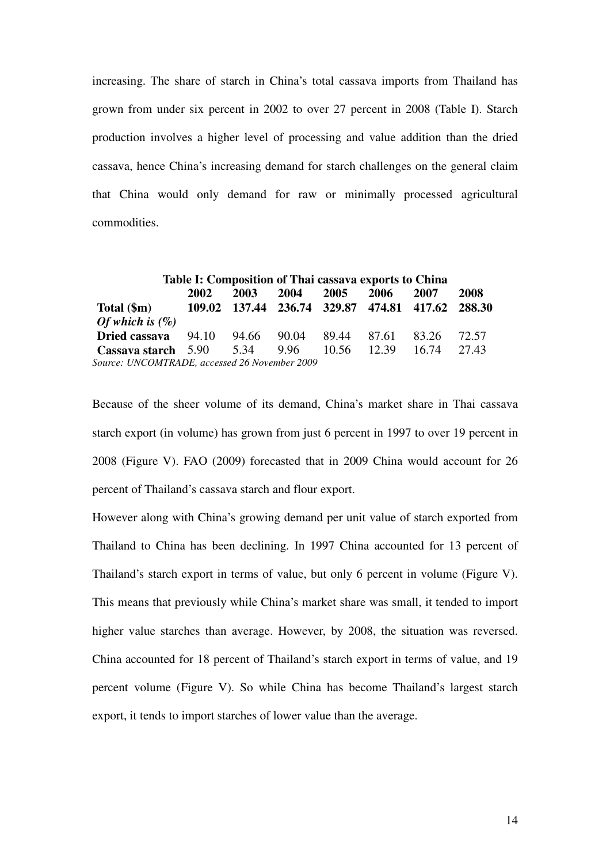increasing. The share of starch in China's total cassava imports from Thailand has grown from under six percent in 2002 to over 27 percent in 2008 (Table I). Starch production involves a higher level of processing and value addition than the dried cassava, hence China's increasing demand for starch challenges on the general claim that China would only demand for raw or minimally processed agricultural commodities.

| Table I: Composition of Thai cassava exports to China |                                                  |             |      |             |       |       |       |  |
|-------------------------------------------------------|--------------------------------------------------|-------------|------|-------------|-------|-------|-------|--|
|                                                       | 2002                                             | 2003        | 2004 | 2005        | 2006  | 2007  | 2008  |  |
| Total $(\$m)$                                         | 109.02 137.44 236.74 329.87 474.81 417.62 288.30 |             |      |             |       |       |       |  |
| Of which is $(\%)$                                    |                                                  |             |      |             |       |       |       |  |
| Dried cassava                                         | 94.10                                            | 94.66 90.04 |      | 89.44 87.61 |       | 83.26 | 72.57 |  |
| Cassava starch 5.90                                   |                                                  | 5.34        | 9.96 | 10.56       | 12.39 | 16.74 | 27.43 |  |
| Source: UNCOMTRADE, accessed 26 November 2009         |                                                  |             |      |             |       |       |       |  |

Because of the sheer volume of its demand, China's market share in Thai cassava starch export (in volume) has grown from just 6 percent in 1997 to over 19 percent in 2008 (Figure V). FAO (2009) forecasted that in 2009 China would account for 26 percent of Thailand's cassava starch and flour export.

However along with China's growing demand per unit value of starch exported from Thailand to China has been declining. In 1997 China accounted for 13 percent of Thailand's starch export in terms of value, but only 6 percent in volume (Figure V). This means that previously while China's market share was small, it tended to import higher value starches than average. However, by 2008, the situation was reversed. China accounted for 18 percent of Thailand's starch export in terms of value, and 19 percent volume (Figure V). So while China has become Thailand's largest starch export, it tends to import starches of lower value than the average.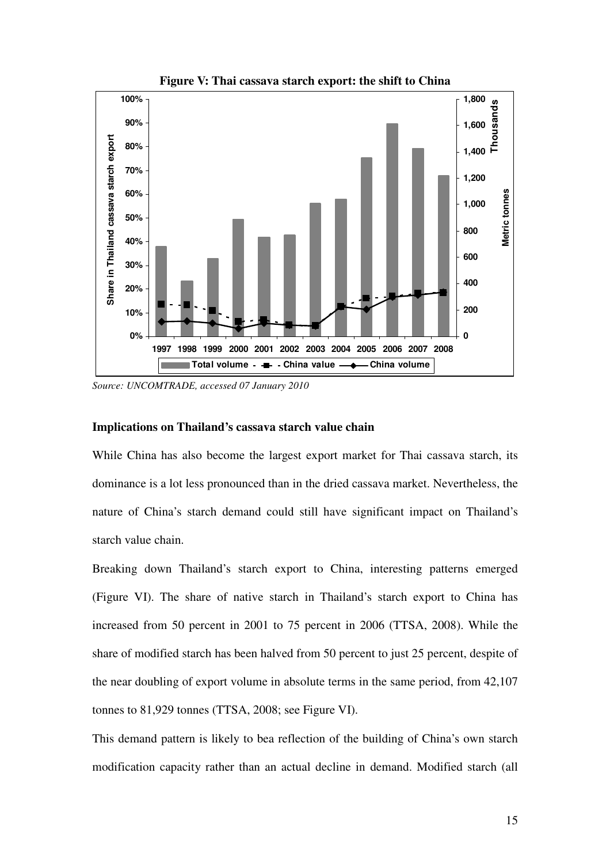

**Figure V: Thai cassava starch export: the shift to China**

*Source: UNCOMTRADE, accessed 07 January 2010* 

### **Implications on Thailand's cassava starch value chain**

While China has also become the largest export market for Thai cassava starch, its dominance is a lot less pronounced than in the dried cassava market. Nevertheless, the nature of China's starch demand could still have significant impact on Thailand's starch value chain.

Breaking down Thailand's starch export to China, interesting patterns emerged (Figure VI). The share of native starch in Thailand's starch export to China has increased from 50 percent in 2001 to 75 percent in 2006 (TTSA, 2008). While the share of modified starch has been halved from 50 percent to just 25 percent, despite of the near doubling of export volume in absolute terms in the same period, from 42,107 tonnes to 81,929 tonnes (TTSA, 2008; see Figure VI).

This demand pattern is likely to bea reflection of the building of China's own starch modification capacity rather than an actual decline in demand. Modified starch (all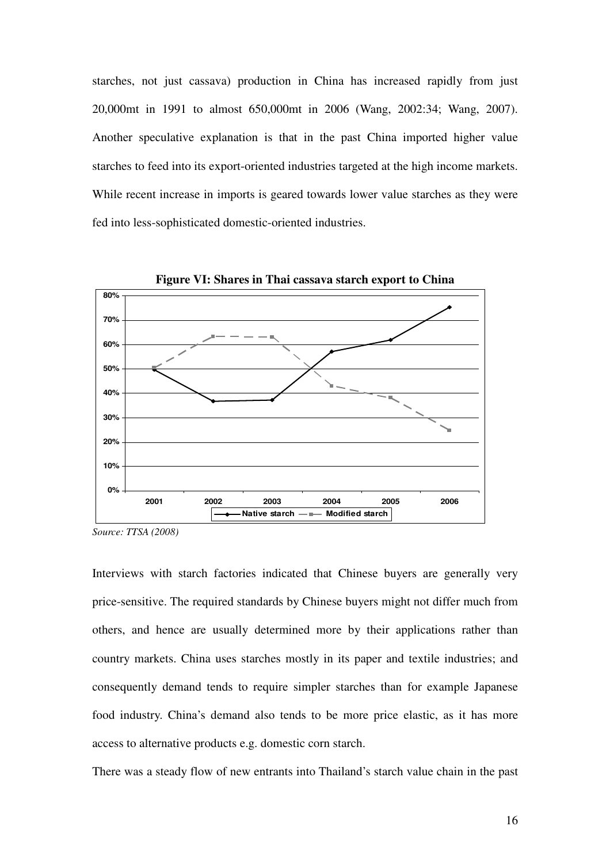starches, not just cassava) production in China has increased rapidly from just 20,000mt in 1991 to almost 650,000mt in 2006 (Wang, 2002:34; Wang, 2007). Another speculative explanation is that in the past China imported higher value starches to feed into its export-oriented industries targeted at the high income markets. While recent increase in imports is geared towards lower value starches as they were fed into less-sophisticated domestic-oriented industries.



**Figure VI: Shares in Thai cassava starch export to China** 

Interviews with starch factories indicated that Chinese buyers are generally very price-sensitive. The required standards by Chinese buyers might not differ much from others, and hence are usually determined more by their applications rather than country markets. China uses starches mostly in its paper and textile industries; and consequently demand tends to require simpler starches than for example Japanese food industry. China's demand also tends to be more price elastic, as it has more access to alternative products e.g. domestic corn starch.

There was a steady flow of new entrants into Thailand's starch value chain in the past

*Source: TTSA (2008)*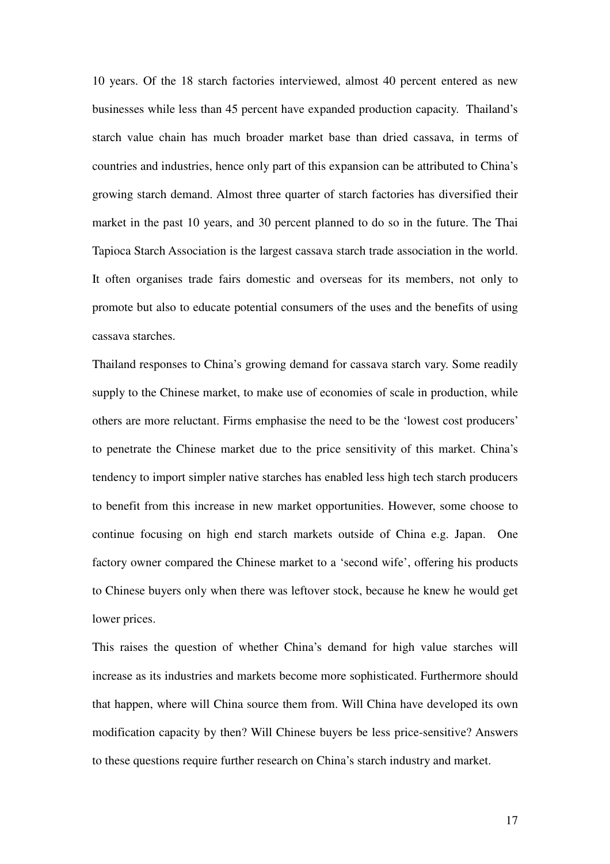10 years. Of the 18 starch factories interviewed, almost 40 percent entered as new businesses while less than 45 percent have expanded production capacity. Thailand's starch value chain has much broader market base than dried cassava, in terms of countries and industries, hence only part of this expansion can be attributed to China's growing starch demand. Almost three quarter of starch factories has diversified their market in the past 10 years, and 30 percent planned to do so in the future. The Thai Tapioca Starch Association is the largest cassava starch trade association in the world. It often organises trade fairs domestic and overseas for its members, not only to promote but also to educate potential consumers of the uses and the benefits of using cassava starches.

Thailand responses to China's growing demand for cassava starch vary. Some readily supply to the Chinese market, to make use of economies of scale in production, while others are more reluctant. Firms emphasise the need to be the 'lowest cost producers' to penetrate the Chinese market due to the price sensitivity of this market. China's tendency to import simpler native starches has enabled less high tech starch producers to benefit from this increase in new market opportunities. However, some choose to continue focusing on high end starch markets outside of China e.g. Japan. One factory owner compared the Chinese market to a 'second wife', offering his products to Chinese buyers only when there was leftover stock, because he knew he would get lower prices.

This raises the question of whether China's demand for high value starches will increase as its industries and markets become more sophisticated. Furthermore should that happen, where will China source them from. Will China have developed its own modification capacity by then? Will Chinese buyers be less price-sensitive? Answers to these questions require further research on China's starch industry and market.

17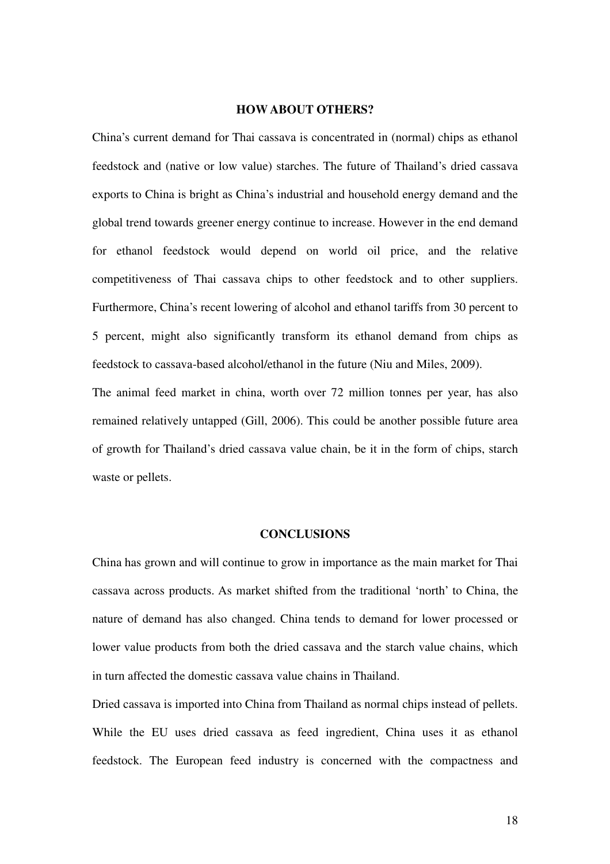## **HOW ABOUT OTHERS?**

China's current demand for Thai cassava is concentrated in (normal) chips as ethanol feedstock and (native or low value) starches. The future of Thailand's dried cassava exports to China is bright as China's industrial and household energy demand and the global trend towards greener energy continue to increase. However in the end demand for ethanol feedstock would depend on world oil price, and the relative competitiveness of Thai cassava chips to other feedstock and to other suppliers. Furthermore, China's recent lowering of alcohol and ethanol tariffs from 30 percent to 5 percent, might also significantly transform its ethanol demand from chips as feedstock to cassava-based alcohol/ethanol in the future (Niu and Miles, 2009).

The animal feed market in china, worth over 72 million tonnes per year, has also remained relatively untapped (Gill, 2006). This could be another possible future area of growth for Thailand's dried cassava value chain, be it in the form of chips, starch waste or pellets.

### **CONCLUSIONS**

China has grown and will continue to grow in importance as the main market for Thai cassava across products. As market shifted from the traditional 'north' to China, the nature of demand has also changed. China tends to demand for lower processed or lower value products from both the dried cassava and the starch value chains, which in turn affected the domestic cassava value chains in Thailand.

Dried cassava is imported into China from Thailand as normal chips instead of pellets. While the EU uses dried cassava as feed ingredient, China uses it as ethanol feedstock. The European feed industry is concerned with the compactness and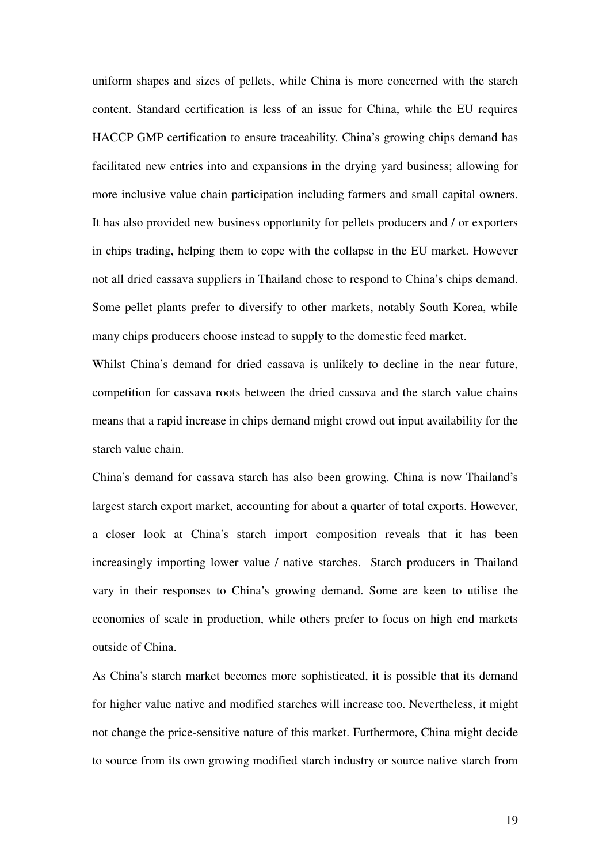uniform shapes and sizes of pellets, while China is more concerned with the starch content. Standard certification is less of an issue for China, while the EU requires HACCP GMP certification to ensure traceability. China's growing chips demand has facilitated new entries into and expansions in the drying yard business; allowing for more inclusive value chain participation including farmers and small capital owners. It has also provided new business opportunity for pellets producers and / or exporters in chips trading, helping them to cope with the collapse in the EU market. However not all dried cassava suppliers in Thailand chose to respond to China's chips demand. Some pellet plants prefer to diversify to other markets, notably South Korea, while many chips producers choose instead to supply to the domestic feed market.

Whilst China's demand for dried cassava is unlikely to decline in the near future, competition for cassava roots between the dried cassava and the starch value chains means that a rapid increase in chips demand might crowd out input availability for the starch value chain.

China's demand for cassava starch has also been growing. China is now Thailand's largest starch export market, accounting for about a quarter of total exports. However, a closer look at China's starch import composition reveals that it has been increasingly importing lower value / native starches. Starch producers in Thailand vary in their responses to China's growing demand. Some are keen to utilise the economies of scale in production, while others prefer to focus on high end markets outside of China.

As China's starch market becomes more sophisticated, it is possible that its demand for higher value native and modified starches will increase too. Nevertheless, it might not change the price-sensitive nature of this market. Furthermore, China might decide to source from its own growing modified starch industry or source native starch from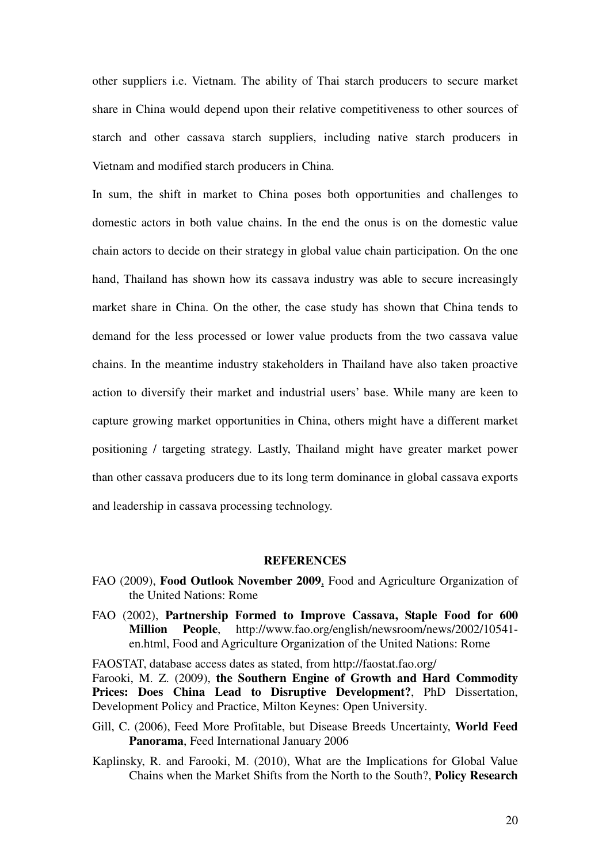other suppliers i.e. Vietnam. The ability of Thai starch producers to secure market share in China would depend upon their relative competitiveness to other sources of starch and other cassava starch suppliers, including native starch producers in Vietnam and modified starch producers in China.

In sum, the shift in market to China poses both opportunities and challenges to domestic actors in both value chains. In the end the onus is on the domestic value chain actors to decide on their strategy in global value chain participation. On the one hand, Thailand has shown how its cassava industry was able to secure increasingly market share in China. On the other, the case study has shown that China tends to demand for the less processed or lower value products from the two cassava value chains. In the meantime industry stakeholders in Thailand have also taken proactive action to diversify their market and industrial users' base. While many are keen to capture growing market opportunities in China, others might have a different market positioning / targeting strategy. Lastly, Thailand might have greater market power than other cassava producers due to its long term dominance in global cassava exports and leadership in cassava processing technology.

## **REFERENCES**

- FAO (2009), **Food Outlook November 2009**, Food and Agriculture Organization of the United Nations: Rome
- FAO (2002), **Partnership Formed to Improve Cassava, Staple Food for 600 Million People**, http://www.fao.org/english/newsroom/news/2002/10541 en.html, Food and Agriculture Organization of the United Nations: Rome

FAOSTAT, database access dates as stated, from http://faostat.fao.org/ Farooki, M. Z. (2009), **the Southern Engine of Growth and Hard Commodity Prices: Does China Lead to Disruptive Development?**, PhD Dissertation, Development Policy and Practice, Milton Keynes: Open University.

- Gill, C. (2006), Feed More Profitable, but Disease Breeds Uncertainty, **World Feed Panorama**, Feed International January 2006
- Kaplinsky, R. and Farooki, M. (2010), What are the Implications for Global Value Chains when the Market Shifts from the North to the South?, **Policy Research**